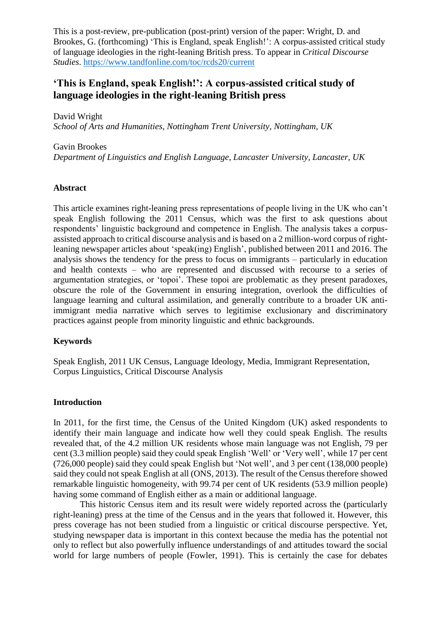This is a post-review, pre-publication (post-print) version of the paper: Wright, D. and Brookes, G. (forthcoming) 'This is England, speak English!': A corpus-assisted critical study of language ideologies in the right-leaning British press. To appear in *Critical Discourse Studies*. <https://www.tandfonline.com/toc/rcds20/current>

# **'This is England, speak English!': A corpus-assisted critical study of language ideologies in the right-leaning British press**

David Wright

*School of Arts and Humanities, Nottingham Trent University, Nottingham, UK*

## Gavin Brookes

*Department of Linguistics and English Language, Lancaster University, Lancaster, UK*

# **Abstract**

This article examines right-leaning press representations of people living in the UK who can't speak English following the 2011 Census, which was the first to ask questions about respondents' linguistic background and competence in English. The analysis takes a corpusassisted approach to critical discourse analysis and is based on a 2 million-word corpus of rightleaning newspaper articles about 'speak(ing) English', published between 2011 and 2016. The analysis shows the tendency for the press to focus on immigrants – particularly in education and health contexts – who are represented and discussed with recourse to a series of argumentation strategies, or 'topoi'. These topoi are problematic as they present paradoxes, obscure the role of the Government in ensuring integration, overlook the difficulties of language learning and cultural assimilation, and generally contribute to a broader UK antiimmigrant media narrative which serves to legitimise exclusionary and discriminatory practices against people from minority linguistic and ethnic backgrounds.

# **Keywords**

Speak English, 2011 UK Census, Language Ideology, Media, Immigrant Representation, Corpus Linguistics, Critical Discourse Analysis

# **Introduction**

In 2011, for the first time, the Census of the United Kingdom (UK) asked respondents to identify their main language and indicate how well they could speak English. The results revealed that, of the 4.2 million UK residents whose main language was not English, 79 per cent (3.3 million people) said they could speak English 'Well' or 'Very well', while 17 per cent (726,000 people) said they could speak English but 'Not well', and 3 per cent (138,000 people) said they could not speak English at all (ONS, 2013). The result of the Census therefore showed remarkable linguistic homogeneity, with 99.74 per cent of UK residents (53.9 million people) having some command of English either as a main or additional language.

This historic Census item and its result were widely reported across the (particularly right-leaning) press at the time of the Census and in the years that followed it. However, this press coverage has not been studied from a linguistic or critical discourse perspective. Yet, studying newspaper data is important in this context because the media has the potential not only to reflect but also powerfully influence understandings of and attitudes toward the social world for large numbers of people (Fowler, 1991). This is certainly the case for debates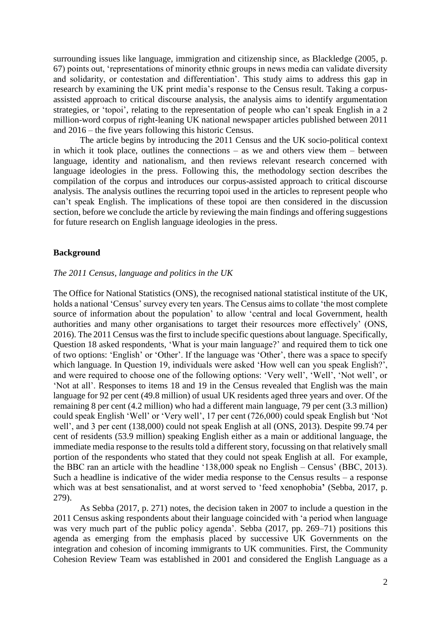surrounding issues like language, immigration and citizenship since, as Blackledge (2005, p. 67) points out, 'representations of minority ethnic groups in news media can validate diversity and solidarity, or contestation and differentiation'. This study aims to address this gap in research by examining the UK print media's response to the Census result. Taking a corpusassisted approach to critical discourse analysis, the analysis aims to identify argumentation strategies, or 'topoi', relating to the representation of people who can't speak English in a 2 million-word corpus of right-leaning UK national newspaper articles published between 2011 and 2016 – the five years following this historic Census.

The article begins by introducing the 2011 Census and the UK socio-political context in which it took place, outlines the connections – as we and others view them – between language, identity and nationalism, and then reviews relevant research concerned with language ideologies in the press. Following this, the methodology section describes the compilation of the corpus and introduces our corpus-assisted approach to critical discourse analysis. The analysis outlines the recurring topoi used in the articles to represent people who can't speak English. The implications of these topoi are then considered in the discussion section, before we conclude the article by reviewing the main findings and offering suggestions for future research on English language ideologies in the press.

#### **Background**

#### *The 2011 Census, language and politics in the UK*

The Office for National Statistics (ONS), the recognised national statistical institute of the UK, holds a national 'Census' survey every ten years. The Census aims to collate 'the most complete source of information about the population' to allow 'central and local Government, health authorities and many other organisations to target their resources more effectively' (ONS, 2016). The 2011 Census was the first to include specific questions about language. Specifically, Question 18 asked respondents, 'What is your main language?' and required them to tick one of two options: 'English' or 'Other'. If the language was 'Other', there was a space to specify which language. In Question 19, individuals were asked 'How well can you speak English?', and were required to choose one of the following options: 'Very well', 'Well', 'Not well', or 'Not at all'. Responses to items 18 and 19 in the Census revealed that English was the main language for 92 per cent (49.8 million) of usual UK residents aged three years and over. Of the remaining 8 per cent (4.2 million) who had a different main language, 79 per cent (3.3 million) could speak English 'Well' or 'Very well', 17 per cent (726,000) could speak English but 'Not well', and 3 per cent (138,000) could not speak English at all (ONS, 2013). Despite 99.74 per cent of residents (53.9 million) speaking English either as a main or additional language, the immediate media response to the results told a different story, focussing on that relatively small portion of the respondents who stated that they could not speak English at all. For example, the BBC ran an article with the headline '138,000 speak no English – Census' (BBC, 2013). Such a headline is indicative of the wider media response to the Census results – a response which was at best sensationalist, and at worst served to 'feed xenophobia**'** (Sebba, 2017, p. 279).

As Sebba (2017, p. 271) notes, the decision taken in 2007 to include a question in the 2011 Census asking respondents about their language coincided with 'a period when language was very much part of the public policy agenda'. Sebba (2017, pp. 269–71) positions this agenda as emerging from the emphasis placed by successive UK Governments on the integration and cohesion of incoming immigrants to UK communities. First, the Community Cohesion Review Team was established in 2001 and considered the English Language as a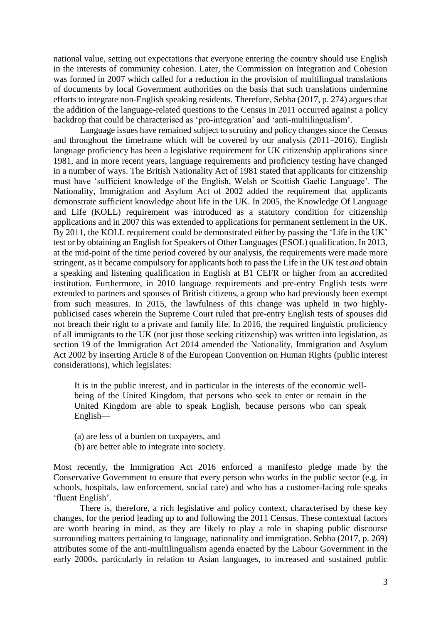national value, setting out expectations that everyone entering the country should use English in the interests of community cohesion. Later, the Commission on Integration and Cohesion was formed in 2007 which called for a reduction in the provision of multilingual translations of documents by local Government authorities on the basis that such translations undermine efforts to integrate non-English speaking residents. Therefore, Sebba (2017, p. 274) argues that the addition of the language-related questions to the Census in 2011 occurred against a policy backdrop that could be characterised as 'pro-integration' and 'anti-multilingualism'.

Language issues have remained subject to scrutiny and policy changes since the Census and throughout the timeframe which will be covered by our analysis (2011–2016). English language proficiency has been a legislative requirement for UK citizenship applications since 1981, and in more recent years, language requirements and proficiency testing have changed in a number of ways. The British Nationality Act of 1981 stated that applicants for citizenship must have 'sufficient knowledge of the English, Welsh or Scottish Gaelic Language'. The Nationality, Immigration and Asylum Act of 2002 added the requirement that applicants demonstrate sufficient knowledge about life in the UK. In 2005, the Knowledge Of Language and Life (KOLL) requirement was introduced as a statutory condition for citizenship applications and in 2007 this was extended to applications for permanent settlement in the UK. By 2011, the KOLL requirement could be demonstrated either by passing the 'Life in the UK' test or by obtaining an English for Speakers of Other Languages (ESOL) qualification. In 2013, at the mid-point of the time period covered by our analysis, the requirements were made more stringent, as it became compulsory for applicants both to pass the Life in the UK test *and* obtain a speaking and listening qualification in English at B1 CEFR or higher from an accredited institution. Furthermore, in 2010 language requirements and pre-entry English tests were extended to partners and spouses of British citizens, a group who had previously been exempt from such measures. In 2015, the lawfulness of this change was upheld in two highlypublicised cases wherein the Supreme Court ruled that pre-entry English tests of spouses did not breach their right to a private and family life. In 2016, the required linguistic proficiency of all immigrants to the UK (not just those seeking citizenship) was written into legislation, as section 19 of the Immigration Act 2014 amended the Nationality, Immigration and Asylum Act 2002 by inserting Article 8 of the European Convention on Human Rights (public interest considerations), which legislates:

It is in the public interest, and in particular in the interests of the economic wellbeing of the United Kingdom, that persons who seek to enter or remain in the United Kingdom are able to speak English, because persons who can speak English—

- (a) are less of a burden on taxpayers, and
- (b) are better able to integrate into society.

Most recently, the Immigration Act 2016 enforced a manifesto pledge made by the Conservative Government to ensure that every person who works in the public sector (e.g. in schools, hospitals, law enforcement, social care) and who has a customer-facing role speaks 'fluent English'.

There is, therefore, a rich legislative and policy context, characterised by these key changes, for the period leading up to and following the 2011 Census. These contextual factors are worth bearing in mind, as they are likely to play a role in shaping public discourse surrounding matters pertaining to language, nationality and immigration. Sebba (2017, p. 269) attributes some of the anti-multilingualism agenda enacted by the Labour Government in the early 2000s, particularly in relation to Asian languages, to increased and sustained public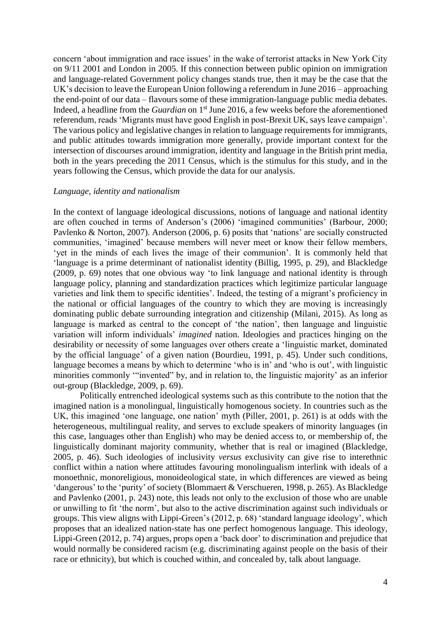concern 'about immigration and race issues' in the wake of terrorist attacks in New York City on 9/11 2001 and London in 2005. If this connection between public opinion on immigration and language-related Government policy changes stands true, then it may be the case that the UK's decision to leave the European Union following a referendum in June 2016 – approaching the end-point of our data – flavours some of these immigration-language public media debates. Indeed, a headline from the *Guardian* on 1<sup>st</sup> June 2016, a few weeks before the aforementioned referendum, reads 'Migrants must have good English in post-Brexit UK, says leave campaign'. The various policy and legislative changes in relation to language requirements for immigrants, and public attitudes towards immigration more generally, provide important context for the intersection of discourses around immigration, identity and language in the British print media, both in the years preceding the 2011 Census, which is the stimulus for this study, and in the years following the Census, which provide the data for our analysis.

#### *Language, identity and nationalism*

In the context of language ideological discussions, notions of language and national identity are often couched in terms of Anderson's (2006) 'imagined communities' (Barbour, 2000; Pavlenko & Norton, 2007). Anderson (2006, p. 6) posits that 'nations' are socially constructed communities, 'imagined' because members will never meet or know their fellow members, 'yet in the minds of each lives the image of their communion'. It is commonly held that 'language is a prime determinant of nationalist identity (Billig, 1995, p. 29), and Blackledge (2009, p. 69) notes that one obvious way 'to link language and national identity is through language policy, planning and standardization practices which legitimize particular language varieties and link them to specific identities'. Indeed, the testing of a migrant's proficiency in the national or official languages of the country to which they are moving is increasingly dominating public debate surrounding integration and citizenship (Milani, 2015). As long as language is marked as central to the concept of 'the nation', then language and linguistic variation will inform individuals' *imagined* nation. Ideologies and practices hinging on the desirability or necessity of some languages over others create a 'linguistic market, dominated by the official language' of a given nation (Bourdieu, 1991, p. 45). Under such conditions, language becomes a means by which to determine 'who is in' and 'who is out', with linguistic minorities commonly '"invented" by, and in relation to, the linguistic majority' as an inferior out-group (Blackledge, 2009, p. 69).

Politically entrenched ideological systems such as this contribute to the notion that the imagined nation is a monolingual, linguistically homogenous society. In countries such as the UK, this imagined 'one language, one nation' myth (Piller, 2001, p. 261) is at odds with the heterogeneous, multilingual reality, and serves to exclude speakers of minority languages (in this case, languages other than English) who may be denied access to, or membership of, the linguistically dominant majority community, whether that is real or imagined (Blackledge, 2005, p. 46). Such ideologies of inclusivity *versus* exclusivity can give rise to interethnic conflict within a nation where attitudes favouring monolingualism interlink with ideals of a monoethnic, monoreligious, monoideological state, in which differences are viewed as being 'dangerous' to the 'purity' of society (Blommaert & Verschueren, 1998, p. 265). As Blackledge and Pavlenko (2001, p. 243) note, this leads not only to the exclusion of those who are unable or unwilling to fit 'the norm', but also to the active discrimination against such individuals or groups. This view aligns with Lippi-Green's (2012, p. 68) 'standard language ideology', which proposes that an idealized nation-state has one perfect homogenous language. This ideology, Lippi-Green (2012, p. 74) argues, props open a 'back door' to discrimination and prejudice that would normally be considered racism (e.g. discriminating against people on the basis of their race or ethnicity), but which is couched within, and concealed by, talk about language.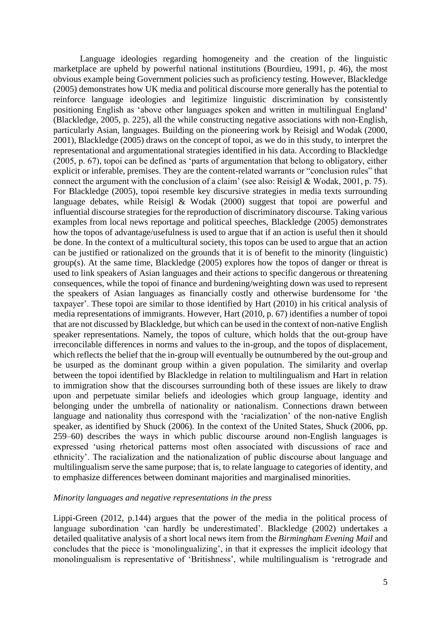Language ideologies regarding homogeneity and the creation of the linguistic marketplace are upheld by powerful national institutions (Bourdieu, 1991, p. 46), the most obvious example being Government policies such as proficiency testing. However, Blackledge (2005) demonstrates how UK media and political discourse more generally has the potential to reinforce language ideologies and legitimize linguistic discrimination by consistently positioning English as 'above other languages spoken and written in multilingual England' (Blackledge, 2005, p. 225), all the while constructing negative associations with non-English, particularly Asian, languages. Building on the pioneering work by Reisigl and Wodak (2000, 2001), Blackledge (2005) draws on the concept of topoi, as we do in this study, to interpret the representational and argumentational strategies identified in his data. According to Blackledge (2005, p. 67), topoi can be defined as 'parts of argumentation that belong to obligatory, either explicit or inferable, premises. They are the content-related warrants or "conclusion rules" that connect the argument with the conclusion of a claim' (see also: Reisigl & Wodak, 2001, p. 75). For Blackledge (2005), topoi resemble key discursive strategies in media texts surrounding language debates, while Reisigl & Wodak  $(2000)$  suggest that topoi are powerful and influential discourse strategies for the reproduction of discriminatory discourse. Taking various examples from local news reportage and political speeches, Blackledge (2005) demonstrates how the topos of advantage/usefulness is used to argue that if an action is useful then it should be done. In the context of a multicultural society, this topos can be used to argue that an action can be justified or rationalized on the grounds that it is of benefit to the minority (linguistic) group(s). At the same time, Blackledge (2005) explores how the topos of danger or threat is used to link speakers of Asian languages and their actions to specific dangerous or threatening consequences, while the topoi of finance and burdening/weighting down was used to represent the speakers of Asian languages as financially costly and otherwise burdensome for 'the taxpayer'. These topoi are similar to those identified by Hart (2010) in his critical analysis of media representations of immigrants. However, Hart (2010, p. 67) identifies a number of topoi that are not discussed by Blackledge, but which can be used in the context of non-native English speaker representations. Namely, the topos of culture, which holds that the out-group have irreconcilable differences in norms and values to the in-group, and the topos of displacement, which reflects the belief that the in-group will eventually be outnumbered by the out-group and be usurped as the dominant group within a given population. The similarity and overlap between the topoi identified by Blackledge in relation to multilingualism and Hart in relation to immigration show that the discourses surrounding both of these issues are likely to draw upon and perpetuate similar beliefs and ideologies which group language, identity and belonging under the umbrella of nationality or nationalism. Connections drawn between language and nationality thus correspond with the 'racialization' of the non-native English speaker, as identified by Shuck (2006). In the context of the United States, Shuck (2006, pp. 259–60) describes the ways in which public discourse around non-English languages is expressed 'using rhetorical patterns most often associated with discussions of race and ethnicity'. The racialization and the nationalization of public discourse about language and multilingualism serve the same purpose; that is, to relate language to categories of identity, and to emphasize differences between dominant majorities and marginalised minorities.

#### *Minority languages and negative representations in the press*

Lippi-Green (2012, p.144) argues that the power of the media in the political process of language subordination 'can hardly be underestimated'. Blackledge (2002) undertakes a detailed qualitative analysis of a short local news item from the *Birmingham Evening Mail* and concludes that the piece is 'monolingualizing', in that it expresses the implicit ideology that monolingualism is representative of 'Britishness', while multilingualism is 'retrograde and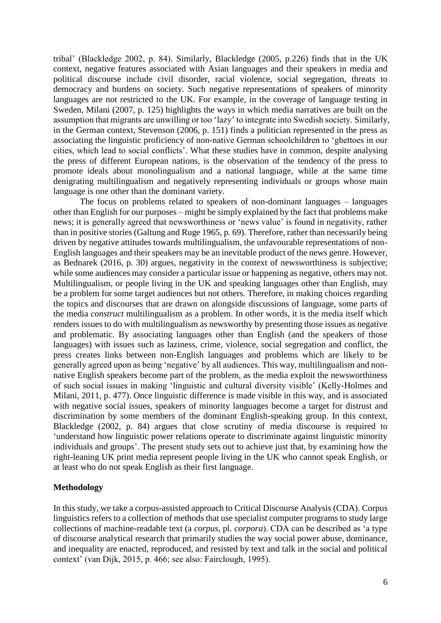tribal' (Blackledge 2002, p. 84). Similarly, Blackledge (2005, p.226) finds that in the UK context, negative features associated with Asian languages and their speakers in media and political discourse include civil disorder, racial violence, social segregation, threats to democracy and burdens on society. Such negative representations of speakers of minority languages are not restricted to the UK. For example, in the coverage of language testing in Sweden, Milani (2007, p. 125) highlights the ways in which media narratives are built on the assumption that migrants are unwilling or too 'lazy' to integrate into Swedish society. Similarly, in the German context, Stevenson (2006, p. 151) finds a politician represented in the press as associating the linguistic proficiency of non-native German schoolchildren to 'ghettoes in our cities, which lead to social conflicts'. What these studies have in common, despite analysing the press of different European nations, is the observation of the tendency of the press to promote ideals about monolingualism and a national language, while at the same time denigrating multilingualism and negatively representing individuals or groups whose main language is one other than the dominant variety.

The focus on problems related to speakers of non-dominant languages – languages other than English for our purposes – might be simply explained by the fact that problems make news; it is generally agreed that newsworthiness or 'news value' is found in negativity, rather than in positive stories (Galtung and Ruge 1965, p. 69). Therefore, rather than necessarily being driven by negative attitudes towards multilingualism, the unfavourable representations of non-English languages and their speakers may be an inevitable product of the news genre. However, as Bednarek (2016, p. 30) argues, negativity in the context of newsworthiness is subjective; while some audiences may consider a particular issue or happening as negative, others may not. Multilingualism, or people living in the UK and speaking languages other than English, may be a problem for some target audiences but not others. Therefore, in making choices regarding the topics and discourses that are drawn on alongside discussions of language, some parts of the media *construct* multilingualism as a problem. In other words, it is the media itself which renders issues to do with multilingualism as newsworthy by presenting those issues as negative and problematic. By associating languages other than English (and the speakers of those languages) with issues such as laziness, crime, violence, social segregation and conflict, the press creates links between non-English languages and problems which are likely to be generally agreed upon as being 'negative' by all audiences. This way, multilingualism and nonnative English speakers become part of the problem, as the media exploit the newsworthiness of such social issues in making 'linguistic and cultural diversity visible' (Kelly-Holmes and Milani, 2011, p. 477). Once linguistic difference is made visible in this way, and is associated with negative social issues, speakers of minority languages become a target for distrust and discrimination by some members of the dominant English-speaking group. In this context, Blackledge (2002, p. 84) argues that close scrutiny of media discourse is required to 'understand how linguistic power relations operate to discriminate against linguistic minority individuals and groups'. The present study sets out to achieve just that, by examining how the right-leaning UK print media represent people living in the UK who cannot speak English, or at least who do not speak English as their first language.

# **Methodology**

In this study, we take a corpus-assisted approach to Critical Discourse Analysis (CDA). Corpus linguistics refers to a collection of methods that use specialist computer programs to study large collections of machine-readable text (a *corpus*, pl. *corpora*). CDA can be described as 'a type of discourse analytical research that primarily studies the way social power abuse, dominance, and inequality are enacted, reproduced, and resisted by text and talk in the social and political context' (van Dijk, 2015, p. 466; see also: Fairclough, 1995).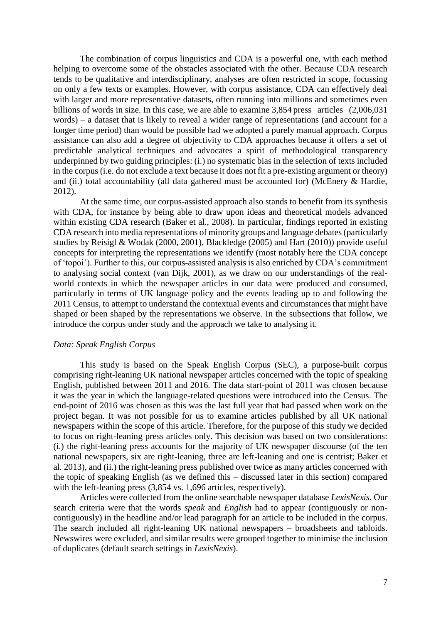The combination of corpus linguistics and CDA is a powerful one, with each method helping to overcome some of the obstacles associated with the other. Because CDA research tends to be qualitative and interdisciplinary, analyses are often restricted in scope, focussing on only a few texts or examples. However, with corpus assistance, CDA can effectively deal with larger and more representative datasets, often running into millions and sometimes even billions of words in size. In this case, we are able to examine 3,854 press articles (2,006,031) words) – a dataset that is likely to reveal a wider range of representations (and account for a longer time period) than would be possible had we adopted a purely manual approach. Corpus assistance can also add a degree of objectivity to CDA approaches because it offers a set of predictable analytical techniques and advocates a spirit of methodological transparency underpinned by two guiding principles: (i.) no systematic bias in the selection of texts included in the corpus (i.e. do not exclude a text because it does not fit a pre-existing argument or theory) and (ii.) total accountability (all data gathered must be accounted for) (McEnery & Hardie, 2012).

At the same time, our corpus-assisted approach also stands to benefit from its synthesis with CDA, for instance by being able to draw upon ideas and theoretical models advanced within existing CDA research (Baker et al., 2008). In particular, findings reported in existing CDA research into media representations of minority groups and language debates (particularly studies by Reisigl & Wodak (2000, 2001), Blackledge (2005) and Hart (2010)) provide useful concepts for interpreting the representations we identify (most notably here the CDA concept of 'topoi'). Further to this, our corpus-assisted analysis is also enriched by CDA's commitment to analysing social context (van Dijk, 2001), as we draw on our understandings of the realworld contexts in which the newspaper articles in our data were produced and consumed, particularly in terms of UK language policy and the events leading up to and following the 2011 Census, to attempt to understand the contextual events and circumstances that might have shaped or been shaped by the representations we observe. In the subsections that follow, we introduce the corpus under study and the approach we take to analysing it.

#### *Data: Speak English Corpus*

This study is based on the Speak English Corpus (SEC), a purpose-built corpus comprising right-leaning UK national newspaper articles concerned with the topic of speaking English, published between 2011 and 2016. The data start-point of 2011 was chosen because it was the year in which the language-related questions were introduced into the Census. The end-point of 2016 was chosen as this was the last full year that had passed when work on the project began. It was not possible for us to examine articles published by all UK national newspapers within the scope of this article. Therefore, for the purpose of this study we decided to focus on right-leaning press articles only. This decision was based on two considerations: (i.) the right-leaning press accounts for the majority of UK newspaper discourse (of the ten national newspapers, six are right-leaning, three are left-leaning and one is centrist; Baker et al. 2013), and (ii.) the right-leaning press published over twice as many articles concerned with the topic of speaking English (as we defined this – discussed later in this section) compared with the left-leaning press  $(3,854 \text{ vs. } 1,696 \text{ articles}, \text{respectively}).$ 

Articles were collected from the online searchable newspaper database *LexisNexis*. Our search criteria were that the words *speak* and *English* had to appear (contiguously or noncontiguously) in the headline and/or lead paragraph for an article to be included in the corpus. The search included all right-leaning UK national newspapers – broadsheets and tabloids. Newswires were excluded, and similar results were grouped together to minimise the inclusion of duplicates (default search settings in *LexisNexis*).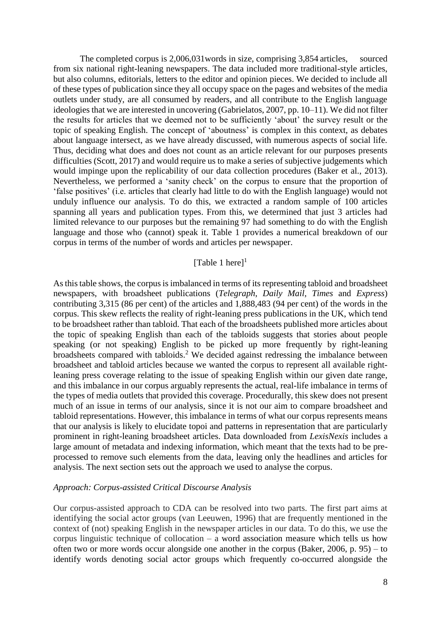The completed corpus is 2,006,031words in size, comprising 3,854 articles, sourced from six national right-leaning newspapers. The data included more traditional-style articles, but also columns, editorials, letters to the editor and opinion pieces. We decided to include all of these types of publication since they all occupy space on the pages and websites of the media outlets under study, are all consumed by readers, and all contribute to the English language ideologies that we are interested in uncovering (Gabrielatos, 2007, pp. 10–11). We did not filter the results for articles that we deemed not to be sufficiently 'about' the survey result or the topic of speaking English. The concept of 'aboutness' is complex in this context, as debates about language intersect, as we have already discussed, with numerous aspects of social life. Thus, deciding what does and does not count as an article relevant for our purposes presents difficulties (Scott, 2017) and would require us to make a series of subjective judgements which would impinge upon the replicability of our data collection procedures (Baker et al., 2013). Nevertheless, we performed a 'sanity check' on the corpus to ensure that the proportion of 'false positives' (i.e. articles that clearly had little to do with the English language) would not unduly influence our analysis. To do this, we extracted a random sample of 100 articles spanning all years and publication types. From this, we determined that just 3 articles had limited relevance to our purposes but the remaining 97 had something to do with the English language and those who (cannot) speak it. Table 1 provides a numerical breakdown of our corpus in terms of the number of words and articles per newspaper.

## [Table 1 here]<sup>1</sup>

As this table shows, the corpus is imbalanced in terms of its representing tabloid and broadsheet newspapers, with broadsheet publications (*Telegraph*, *Daily Mail*, *Times* and *Express*) contributing 3,315 (86 per cent) of the articles and 1,888,483 (94 per cent) of the words in the corpus. This skew reflects the reality of right-leaning press publications in the UK, which tend to be broadsheet rather than tabloid. That each of the broadsheets published more articles about the topic of speaking English than each of the tabloids suggests that stories about people speaking (or not speaking) English to be picked up more frequently by right-leaning broadsheets compared with tabloids.<sup>2</sup> We decided against redressing the imbalance between broadsheet and tabloid articles because we wanted the corpus to represent all available rightleaning press coverage relating to the issue of speaking English within our given date range, and this imbalance in our corpus arguably represents the actual, real-life imbalance in terms of the types of media outlets that provided this coverage. Procedurally, this skew does not present much of an issue in terms of our analysis, since it is not our aim to compare broadsheet and tabloid representations. However, this imbalance in terms of what our corpus represents means that our analysis is likely to elucidate topoi and patterns in representation that are particularly prominent in right-leaning broadsheet articles. Data downloaded from *LexisNexis* includes a large amount of metadata and indexing information, which meant that the texts had to be preprocessed to remove such elements from the data, leaving only the headlines and articles for analysis. The next section sets out the approach we used to analyse the corpus.

## *Approach: Corpus-assisted Critical Discourse Analysis*

Our corpus-assisted approach to CDA can be resolved into two parts. The first part aims at identifying the social actor groups (van Leeuwen, 1996) that are frequently mentioned in the context of (not) speaking English in the newspaper articles in our data. To do this, we use the corpus linguistic technique of collocation – a word association measure which tells us how often two or more words occur alongside one another in the corpus (Baker, 2006, p. 95) – to identify words denoting social actor groups which frequently co-occurred alongside the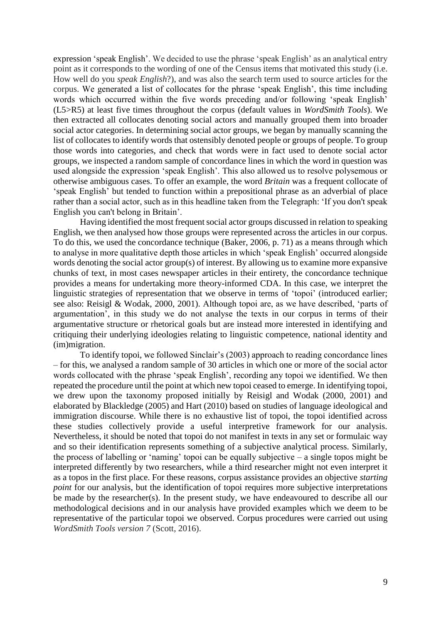expression 'speak English'. We decided to use the phrase 'speak English' as an analytical entry point as it corresponds to the wording of one of the Census items that motivated this study (i.e. How well do you *speak English*?), and was also the search term used to source articles for the corpus. We generated a list of collocates for the phrase 'speak English', this time including words which occurred within the five words preceding and/or following 'speak English' (L5>R5) at least five times throughout the corpus (default values in *WordSmith Tools*). We then extracted all collocates denoting social actors and manually grouped them into broader social actor categories. In determining social actor groups, we began by manually scanning the list of collocates to identify words that ostensibly denoted people or groups of people. To group those words into categories, and check that words were in fact used to denote social actor groups, we inspected a random sample of concordance lines in which the word in question was used alongside the expression 'speak English'. This also allowed us to resolve polysemous or otherwise ambiguous cases. To offer an example, the word *Britain* was a frequent collocate of 'speak English' but tended to function within a prepositional phrase as an adverbial of place rather than a social actor, such as in this headline taken from the Telegraph: 'If you don't speak English you can't belong in Britain'.

Having identified the most frequent social actor groups discussed in relation to speaking English, we then analysed how those groups were represented across the articles in our corpus. To do this, we used the concordance technique (Baker, 2006, p. 71) as a means through which to analyse in more qualitative depth those articles in which 'speak English' occurred alongside words denoting the social actor group(s) of interest. By allowing us to examine more expansive chunks of text, in most cases newspaper articles in their entirety, the concordance technique provides a means for undertaking more theory-informed CDA. In this case, we interpret the linguistic strategies of representation that we observe in terms of 'topoi' (introduced earlier; see also: Reisigl & Wodak, 2000, 2001). Although topoi are, as we have described, 'parts of argumentation', in this study we do not analyse the texts in our corpus in terms of their argumentative structure or rhetorical goals but are instead more interested in identifying and critiquing their underlying ideologies relating to linguistic competence, national identity and (im)migration.

To identify topoi, we followed Sinclair's (2003) approach to reading concordance lines – for this, we analysed a random sample of 30 articles in which one or more of the social actor words collocated with the phrase 'speak English', recording any topoi we identified. We then repeated the procedure until the point at which new topoi ceased to emerge. In identifying topoi, we drew upon the taxonomy proposed initially by Reisigl and Wodak (2000, 2001) and elaborated by Blackledge (2005) and Hart (2010) based on studies of language ideological and immigration discourse. While there is no exhaustive list of topoi, the topoi identified across these studies collectively provide a useful interpretive framework for our analysis. Nevertheless, it should be noted that topoi do not manifest in texts in any set or formulaic way and so their identification represents something of a subjective analytical process. Similarly, the process of labelling or 'naming' topoi can be equally subjective – a single topos might be interpreted differently by two researchers, while a third researcher might not even interpret it as a topos in the first place. For these reasons, corpus assistance provides an objective *starting point* for our analysis, but the identification of topoi requires more subjective interpretations be made by the researcher(s). In the present study, we have endeavoured to describe all our methodological decisions and in our analysis have provided examples which we deem to be representative of the particular topoi we observed. Corpus procedures were carried out using *WordSmith Tools version 7* (Scott, 2016).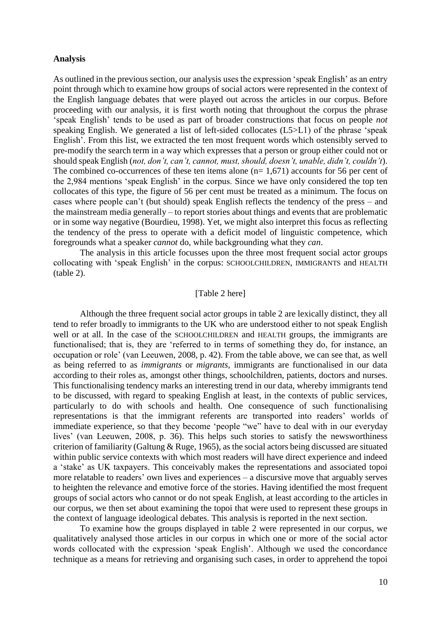### **Analysis**

As outlined in the previous section, our analysis uses the expression 'speak English' as an entry point through which to examine how groups of social actors were represented in the context of the English language debates that were played out across the articles in our corpus. Before proceeding with our analysis, it is first worth noting that throughout the corpus the phrase 'speak English' tends to be used as part of broader constructions that focus on people *not* speaking English. We generated a list of left-sided collocates (L5>L1) of the phrase 'speak English'. From this list, we extracted the ten most frequent words which ostensibly served to pre-modify the search term in a way which expresses that a person or group either could not or should speak English (*not, don't, can't, cannot, must, should, doesn't, unable, didn't, couldn't*). The combined co-occurrences of these ten items alone  $(n= 1,671)$  accounts for 56 per cent of the 2,984 mentions 'speak English' in the corpus. Since we have only considered the top ten collocates of this type, the figure of 56 per cent must be treated as a minimum. The focus on cases where people can't (but should) speak English reflects the tendency of the press – and the mainstream media generally – to report stories about things and events that are problematic or in some way negative (Bourdieu, 1998). Yet, we might also interpret this focus as reflecting the tendency of the press to operate with a deficit model of linguistic competence, which foregrounds what a speaker *cannot* do, while backgrounding what they *can*.

The analysis in this article focusses upon the three most frequent social actor groups collocating with 'speak English' in the corpus: SCHOOLCHILDREN, IMMIGRANTS and HEALTH (table 2).

## [Table 2 here]

Although the three frequent social actor groups in table 2 are lexically distinct, they all tend to refer broadly to immigrants to the UK who are understood either to not speak English well or at all. In the case of the SCHOOLCHILDREN and HEALTH groups, the immigrants are functionalised; that is, they are 'referred to in terms of something they do, for instance, an occupation or role' (van Leeuwen, 2008, p. 42). From the table above, we can see that, as well as being referred to as *immigrants* or *migrants*, immigrants are functionalised in our data according to their roles as, amongst other things, schoolchildren, patients, doctors and nurses. This functionalising tendency marks an interesting trend in our data, whereby immigrants tend to be discussed, with regard to speaking English at least, in the contexts of public services, particularly to do with schools and health. One consequence of such functionalising representations is that the immigrant referents are transported into readers' worlds of immediate experience, so that they become 'people "we" have to deal with in our everyday lives' (van Leeuwen, 2008, p. 36). This helps such stories to satisfy the newsworthiness criterion of familiarity (Galtung & Ruge, 1965), as the social actors being discussed are situated within public service contexts with which most readers will have direct experience and indeed a 'stake' as UK taxpayers. This conceivably makes the representations and associated topoi more relatable to readers' own lives and experiences – a discursive move that arguably serves to heighten the relevance and emotive force of the stories. Having identified the most frequent groups of social actors who cannot or do not speak English, at least according to the articles in our corpus, we then set about examining the topoi that were used to represent these groups in the context of language ideological debates. This analysis is reported in the next section.

To examine how the groups displayed in table 2 were represented in our corpus, we qualitatively analysed those articles in our corpus in which one or more of the social actor words collocated with the expression 'speak English'. Although we used the concordance technique as a means for retrieving and organising such cases, in order to apprehend the topoi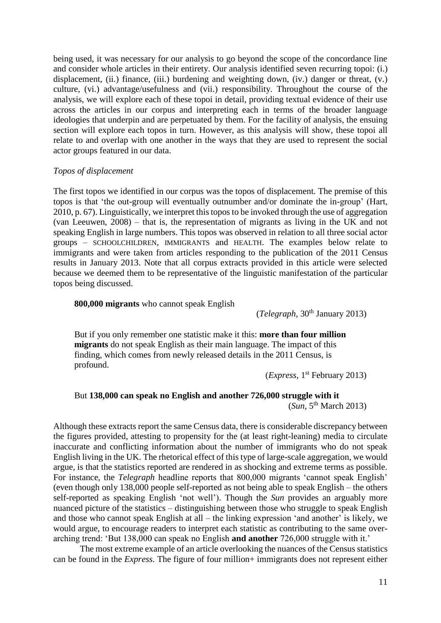being used, it was necessary for our analysis to go beyond the scope of the concordance line and consider whole articles in their entirety. Our analysis identified seven recurring topoi: (i.) displacement, (ii.) finance, (iii.) burdening and weighting down, (iv.) danger or threat, (v.) culture, (vi.) advantage/usefulness and (vii.) responsibility. Throughout the course of the analysis, we will explore each of these topoi in detail, providing textual evidence of their use across the articles in our corpus and interpreting each in terms of the broader language ideologies that underpin and are perpetuated by them. For the facility of analysis, the ensuing section will explore each topos in turn. However, as this analysis will show, these topoi all relate to and overlap with one another in the ways that they are used to represent the social actor groups featured in our data.

## *Topos of displacement*

The first topos we identified in our corpus was the topos of displacement. The premise of this topos is that 'the out-group will eventually outnumber and/or dominate the in-group' (Hart, 2010, p. 67). Linguistically, we interpret this topos to be invoked through the use of aggregation (van Leeuwen, 2008) – that is, the representation of migrants as living in the UK and not speaking English in large numbers. This topos was observed in relation to all three social actor groups – SCHOOLCHILDREN, IMMIGRANTS and HEALTH. The examples below relate to immigrants and were taken from articles responding to the publication of the 2011 Census results in January 2013. Note that all corpus extracts provided in this article were selected because we deemed them to be representative of the linguistic manifestation of the particular topos being discussed.

**800,000 migrants** who cannot speak English

(*Telegraph*, 30th January 2013)

But if you only remember one statistic make it this: **more than four million migrants** do not speak English as their main language. The impact of this finding, which comes from newly released details in the 2011 Census, is profound.

(*Express*, 1st February 2013)

# But **138,000 can speak no English and another 726,000 struggle with it** (*Sun*, 5th March 2013)

Although these extracts report the same Census data, there is considerable discrepancy between the figures provided, attesting to propensity for the (at least right-leaning) media to circulate inaccurate and conflicting information about the number of immigrants who do not speak English living in the UK. The rhetorical effect of this type of large-scale aggregation, we would argue, is that the statistics reported are rendered in as shocking and extreme terms as possible. For instance, the *Telegraph* headline reports that 800,000 migrants 'cannot speak English' (even though only 138,000 people self-reported as not being able to speak English – the others self-reported as speaking English 'not well'). Though the *Sun* provides an arguably more nuanced picture of the statistics – distinguishing between those who struggle to speak English and those who cannot speak English at all – the linking expression 'and another' is likely, we would argue, to encourage readers to interpret each statistic as contributing to the same overarching trend: 'But 138,000 can speak no English **and another** 726,000 struggle with it.'

The most extreme example of an article overlooking the nuances of the Census statistics can be found in the *Express*. The figure of four million+ immigrants does not represent either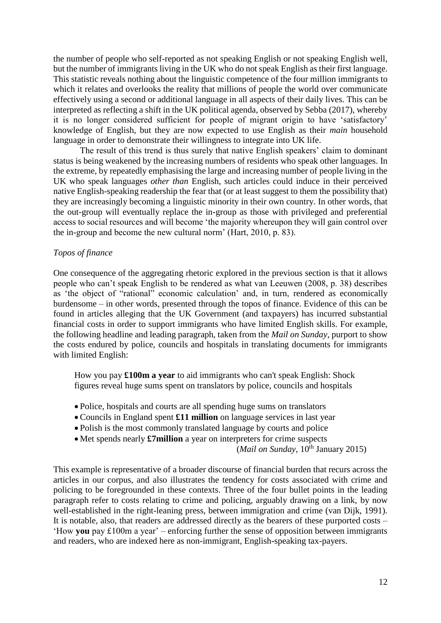the number of people who self-reported as not speaking English or not speaking English well, but the number of immigrants living in the UK who do not speak English as their first language. This statistic reveals nothing about the linguistic competence of the four million immigrants to which it relates and overlooks the reality that millions of people the world over communicate effectively using a second or additional language in all aspects of their daily lives. This can be interpreted as reflecting a shift in the UK political agenda, observed by Sebba (2017), whereby it is no longer considered sufficient for people of migrant origin to have 'satisfactory' knowledge of English, but they are now expected to use English as their *main* household language in order to demonstrate their willingness to integrate into UK life.

The result of this trend is thus surely that native English speakers' claim to dominant status is being weakened by the increasing numbers of residents who speak other languages. In the extreme, by repeatedly emphasising the large and increasing number of people living in the UK who speak languages *other than* English, such articles could induce in their perceived native English-speaking readership the fear that (or at least suggest to them the possibility that) they are increasingly becoming a linguistic minority in their own country. In other words, that the out-group will eventually replace the in-group as those with privileged and preferential access to social resources and will become 'the majority whereupon they will gain control over the in-group and become the new cultural norm' (Hart, 2010, p. 83).

#### *Topos of finance*

One consequence of the aggregating rhetoric explored in the previous section is that it allows people who can't speak English to be rendered as what van Leeuwen (2008, p. 38) describes as 'the object of "rational" economic calculation' and, in turn, rendered as economically burdensome – in other words, presented through the topos of finance. Evidence of this can be found in articles alleging that the UK Government (and taxpayers) has incurred substantial financial costs in order to support immigrants who have limited English skills. For example, the following headline and leading paragraph, taken from the *Mail on Sunday*, purport to show the costs endured by police, councils and hospitals in translating documents for immigrants with limited English:

How you pay **£100m a year** to aid immigrants who can't speak English: Shock figures reveal huge sums spent on translators by police, councils and hospitals

- Police, hospitals and courts are all spending huge sums on translators
- Councils in England spent **£11 million** on language services in last year
- Polish is the most commonly translated language by courts and police
- Met spends nearly **£7million** a year on interpreters for crime suspects

(*Mail on Sunday*,  $10^{\text{th}}$  January 2015)

This example is representative of a broader discourse of financial burden that recurs across the articles in our corpus, and also illustrates the tendency for costs associated with crime and policing to be foregrounded in these contexts. Three of the four bullet points in the leading paragraph refer to costs relating to crime and policing, arguably drawing on a link, by now well-established in the right-leaning press, between immigration and crime (van Dijk, 1991). It is notable, also, that readers are addressed directly as the bearers of these purported costs – 'How **you** pay £100m a year' – enforcing further the sense of opposition between immigrants and readers, who are indexed here as non-immigrant, English-speaking tax-payers.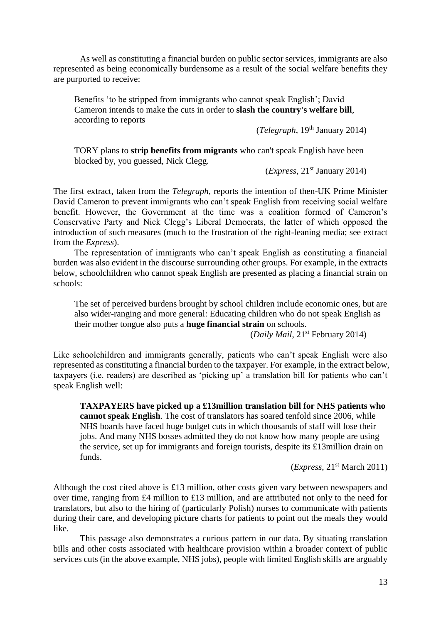As well as constituting a financial burden on public sector services, immigrants are also represented as being economically burdensome as a result of the social welfare benefits they are purported to receive:

Benefits 'to be stripped from immigrants who cannot speak English'; David Cameron intends to make the cuts in order to **slash the country's welfare bill**, according to reports

(*Telegraph*, 19th January 2014)

TORY plans to **strip benefits from migrants** who can't speak English have been blocked by, you guessed, Nick Clegg.

(*Express*, 21st January 2014)

The first extract, taken from the *Telegraph*, reports the intention of then-UK Prime Minister David Cameron to prevent immigrants who can't speak English from receiving social welfare benefit. However, the Government at the time was a coalition formed of Cameron's Conservative Party and Nick Clegg's Liberal Democrats, the latter of which opposed the introduction of such measures (much to the frustration of the right-leaning media; see extract from the *Express*).

The representation of immigrants who can't speak English as constituting a financial burden was also evident in the discourse surrounding other groups. For example, in the extracts below, schoolchildren who cannot speak English are presented as placing a financial strain on schools:

The set of perceived burdens brought by school children include economic ones, but are also wider-ranging and more general: Educating children who do not speak English as their mother tongue also puts a **huge financial strain** on schools.

(*Daily Mail*, 21st February 2014)

Like schoolchildren and immigrants generally, patients who can't speak English were also represented as constituting a financial burden to the taxpayer. For example, in the extract below, taxpayers (i.e. readers) are described as 'picking up' a translation bill for patients who can't speak English well:

**TAXPAYERS have picked up a £13million translation bill for NHS patients who cannot speak English**. The cost of translators has soared tenfold since 2006, while NHS boards have faced huge budget cuts in which thousands of staff will lose their jobs. And many NHS bosses admitted they do not know how many people are using the service, set up for immigrants and foreign tourists, despite its £13million drain on funds.

(*Express*, 21st March 2011)

Although the cost cited above is £13 million, other costs given vary between newspapers and over time, ranging from £4 million to £13 million, and are attributed not only to the need for translators, but also to the hiring of (particularly Polish) nurses to communicate with patients during their care, and developing picture charts for patients to point out the meals they would like.

This passage also demonstrates a curious pattern in our data. By situating translation bills and other costs associated with healthcare provision within a broader context of public services cuts (in the above example, NHS jobs), people with limited English skills are arguably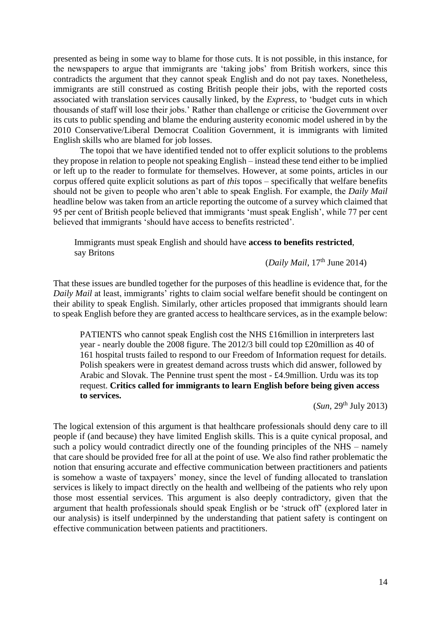presented as being in some way to blame for those cuts. It is not possible, in this instance, for the newspapers to argue that immigrants are 'taking jobs' from British workers, since this contradicts the argument that they cannot speak English and do not pay taxes. Nonetheless, immigrants are still construed as costing British people their jobs, with the reported costs associated with translation services causally linked, by the *Express*, to 'budget cuts in which thousands of staff will lose their jobs.' Rather than challenge or criticise the Government over its cuts to public spending and blame the enduring austerity economic model ushered in by the 2010 Conservative/Liberal Democrat Coalition Government, it is immigrants with limited English skills who are blamed for job losses.

The topoi that we have identified tended not to offer explicit solutions to the problems they propose in relation to people not speaking English – instead these tend either to be implied or left up to the reader to formulate for themselves. However, at some points, articles in our corpus offered quite explicit solutions as part of *this* topos – specifically that welfare benefits should not be given to people who aren't able to speak English. For example, the *Daily Mail* headline below was taken from an article reporting the outcome of a survey which claimed that 95 per cent of British people believed that immigrants 'must speak English', while 77 per cent believed that immigrants 'should have access to benefits restricted'.

Immigrants must speak English and should have **access to benefits restricted**, say Britons

(*Daily Mail*, 17th June 2014)

That these issues are bundled together for the purposes of this headline is evidence that, for the *Daily Mail* at least, immigrants' rights to claim social welfare benefit should be contingent on their ability to speak English. Similarly, other articles proposed that immigrants should learn to speak English before they are granted access to healthcare services, as in the example below:

PATIENTS who cannot speak English cost the NHS £16million in interpreters last year - nearly double the 2008 figure. The 2012/3 bill could top £20million as 40 of 161 hospital trusts failed to respond to our Freedom of Information request for details. Polish speakers were in greatest demand across trusts which did answer, followed by Arabic and Slovak. The Pennine trust spent the most - £4.9million. Urdu was its top request. **Critics called for immigrants to learn English before being given access to services.**

(*Sun*, 29th July 2013)

The logical extension of this argument is that healthcare professionals should deny care to ill people if (and because) they have limited English skills. This is a quite cynical proposal, and such a policy would contradict directly one of the founding principles of the NHS – namely that care should be provided free for all at the point of use. We also find rather problematic the notion that ensuring accurate and effective communication between practitioners and patients is somehow a waste of taxpayers' money, since the level of funding allocated to translation services is likely to impact directly on the health and wellbeing of the patients who rely upon those most essential services. This argument is also deeply contradictory, given that the argument that health professionals should speak English or be 'struck off' (explored later in our analysis) is itself underpinned by the understanding that patient safety is contingent on effective communication between patients and practitioners.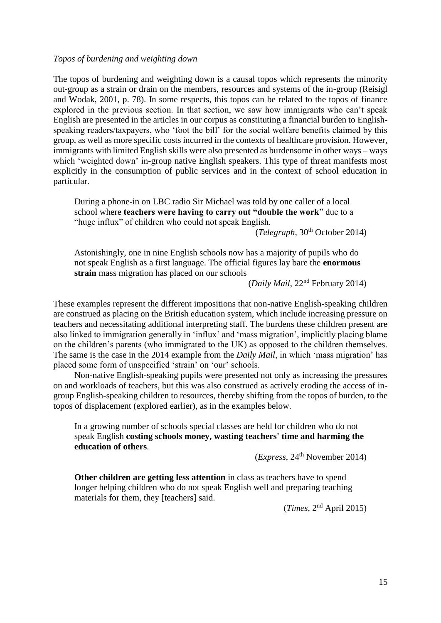## *Topos of burdening and weighting down*

The topos of burdening and weighting down is a causal topos which represents the minority out-group as a strain or drain on the members, resources and systems of the in-group (Reisigl and Wodak, 2001, p. 78). In some respects, this topos can be related to the topos of finance explored in the previous section. In that section, we saw how immigrants who can't speak English are presented in the articles in our corpus as constituting a financial burden to Englishspeaking readers/taxpayers, who 'foot the bill' for the social welfare benefits claimed by this group, as well as more specific costs incurred in the contexts of healthcare provision. However, immigrants with limited English skills were also presented as burdensome in other ways – ways which 'weighted down' in-group native English speakers. This type of threat manifests most explicitly in the consumption of public services and in the context of school education in particular.

During a phone-in on LBC radio Sir Michael was told by one caller of a local school where **teachers were having to carry out "double the work**" due to a "huge influx" of children who could not speak English.

(*Telegraph,* 30th October 2014)

Astonishingly, one in nine English schools now has a majority of pupils who do not speak English as a first language. The official figures lay bare the **enormous strain** mass migration has placed on our schools

(*Daily Mail*, 22nd February 2014)

These examples represent the different impositions that non-native English-speaking children are construed as placing on the British education system, which include increasing pressure on teachers and necessitating additional interpreting staff. The burdens these children present are also linked to immigration generally in 'influx' and 'mass migration', implicitly placing blame on the children's parents (who immigrated to the UK) as opposed to the children themselves. The same is the case in the 2014 example from the *Daily Mail*, in which 'mass migration' has placed some form of unspecified 'strain' on 'our' schools.

Non-native English-speaking pupils were presented not only as increasing the pressures on and workloads of teachers, but this was also construed as actively eroding the access of ingroup English-speaking children to resources, thereby shifting from the topos of burden, to the topos of displacement (explored earlier), as in the examples below.

In a growing number of schools special classes are held for children who do not speak English **costing schools money, wasting teachers' time and harming the education of others**.

(*Express*, 24th November 2014)

**Other children are getting less attention** in class as teachers have to spend longer helping children who do not speak English well and preparing teaching materials for them, they [teachers] said.

(*Times,* 2 nd April 2015)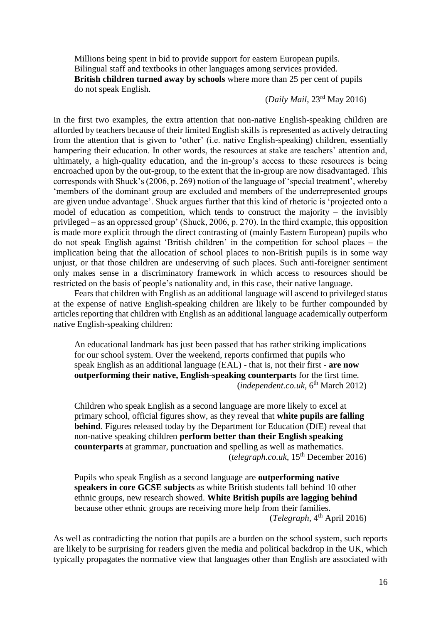Millions being spent in bid to provide support for eastern European pupils. Bilingual staff and textbooks in other languages among services provided. **British children turned away by schools** where more than 25 per cent of pupils do not speak English.

# (*Daily Mail*, 23rd May 2016)

In the first two examples, the extra attention that non-native English-speaking children are afforded by teachers because of their limited English skills is represented as actively detracting from the attention that is given to 'other' (i.e. native English-speaking) children, essentially hampering their education. In other words, the resources at stake are teachers' attention and, ultimately, a high-quality education, and the in-group's access to these resources is being encroached upon by the out-group, to the extent that the in-group are now disadvantaged. This corresponds with Shuck's (2006, p. 269) notion of the language of 'special treatment', whereby 'members of the dominant group are excluded and members of the underrepresented groups are given undue advantage'. Shuck argues further that this kind of rhetoric is 'projected onto a model of education as competition, which tends to construct the majority – the invisibly privileged – as an oppressed group' (Shuck, 2006, p. 270). In the third example, this opposition is made more explicit through the direct contrasting of (mainly Eastern European) pupils who do not speak English against 'British children' in the competition for school places – the implication being that the allocation of school places to non-British pupils is in some way unjust, or that those children are undeserving of such places. Such anti-foreigner sentiment only makes sense in a discriminatory framework in which access to resources should be restricted on the basis of people's nationality and, in this case, their native language.

Fears that children with English as an additional language will ascend to privileged status at the expense of native English-speaking children are likely to be further compounded by articles reporting that children with English as an additional language academically outperform native English-speaking children:

An educational landmark has just been passed that has rather striking implications for our school system. Over the weekend, reports confirmed that pupils who speak English as an additional language (EAL) - that is, not their first - **are now outperforming their native, English-speaking counterparts** for the first time.  $(independent.co.uk, 6<sup>th</sup> March 2012)$ 

Children who speak English as a second language are more likely to excel at primary school, official figures show, as they reveal that **white pupils are falling behind**. Figures released today by the Department for Education (DfE) reveal that non-native speaking children **perform better than their English speaking counterparts** at grammar, punctuation and spelling as well as mathematics. (*telegraph.co.uk*, 15th December 2016)

Pupils who speak English as a second language are **outperforming native speakers in core GCSE subjects** as white British students fall behind 10 other ethnic groups, new research showed. **White British pupils are lagging behind** because other ethnic groups are receiving more help from their families. (*Telegraph,* 4 th April 2016)

As well as contradicting the notion that pupils are a burden on the school system, such reports are likely to be surprising for readers given the media and political backdrop in the UK, which typically propagates the normative view that languages other than English are associated with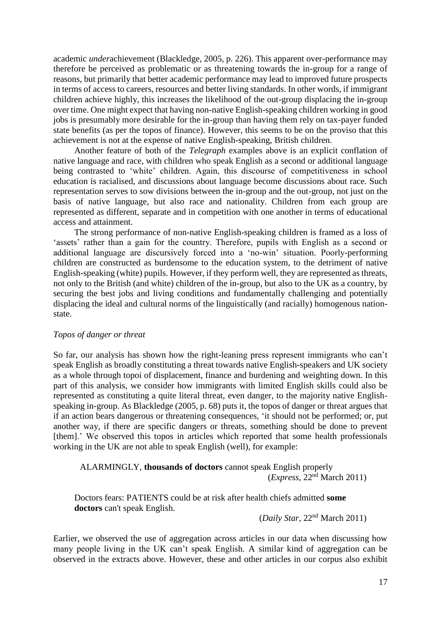academic *under*achievement (Blackledge, 2005, p. 226). This apparent over-performance may therefore be perceived as problematic or as threatening towards the in-group for a range of reasons, but primarily that better academic performance may lead to improved future prospects in terms of access to careers, resources and better living standards. In other words, if immigrant children achieve highly, this increases the likelihood of the out-group displacing the in-group over time. One might expect that having non-native English-speaking children working in good jobs is presumably more desirable for the in-group than having them rely on tax-payer funded state benefits (as per the topos of finance). However, this seems to be on the proviso that this achievement is not at the expense of native English-speaking, British children.

Another feature of both of the *Telegraph* examples above is an explicit conflation of native language and race, with children who speak English as a second or additional language being contrasted to 'white' children. Again, this discourse of competitiveness in school education is racialised, and discussions about language become discussions about race. Such representation serves to sow divisions between the in-group and the out-group, not just on the basis of native language, but also race and nationality. Children from each group are represented as different, separate and in competition with one another in terms of educational access and attainment.

The strong performance of non-native English-speaking children is framed as a loss of 'assets' rather than a gain for the country. Therefore, pupils with English as a second or additional language are discursively forced into a 'no-win' situation. Poorly-performing children are constructed as burdensome to the education system, to the detriment of native English-speaking (white) pupils. However, if they perform well, they are represented as threats, not only to the British (and white) children of the in-group, but also to the UK as a country, by securing the best jobs and living conditions and fundamentally challenging and potentially displacing the ideal and cultural norms of the linguistically (and racially) homogenous nationstate.

#### *Topos of danger or threat*

So far, our analysis has shown how the right-leaning press represent immigrants who can't speak English as broadly constituting a threat towards native English-speakers and UK society as a whole through topoi of displacement, finance and burdening and weighting down. In this part of this analysis, we consider how immigrants with limited English skills could also be represented as constituting a quite literal threat, even danger, to the majority native Englishspeaking in-group. As Blackledge (2005, p. 68) puts it, the topos of danger or threat argues that if an action bears dangerous or threatening consequences, 'it should not be performed; or, put another way, if there are specific dangers or threats, something should be done to prevent [them].' We observed this topos in articles which reported that some health professionals working in the UK are not able to speak English (well), for example:

# ALARMINGLY, **thousands of doctors** cannot speak English properly (*Express*, 22nd March 2011)

Doctors fears: PATIENTS could be at risk after health chiefs admitted **some doctors** can't speak English.

(*Daily Star*, 22nd March 2011)

Earlier, we observed the use of aggregation across articles in our data when discussing how many people living in the UK can't speak English. A similar kind of aggregation can be observed in the extracts above. However, these and other articles in our corpus also exhibit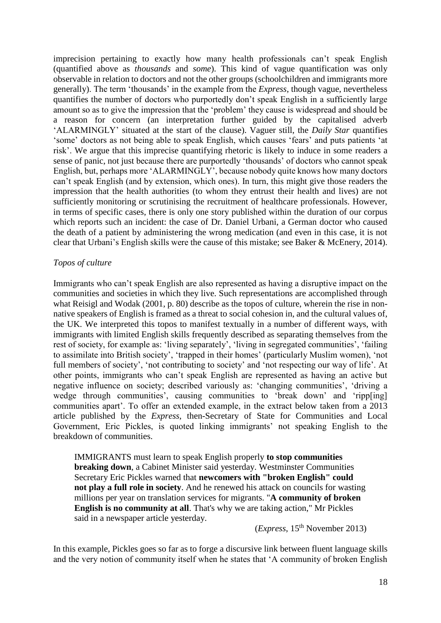imprecision pertaining to exactly how many health professionals can't speak English (quantified above as *thousands* and *some*). This kind of vague quantification was only observable in relation to doctors and not the other groups (schoolchildren and immigrants more generally). The term 'thousands' in the example from the *Express*, though vague, nevertheless quantifies the number of doctors who purportedly don't speak English in a sufficiently large amount so as to give the impression that the 'problem' they cause is widespread and should be a reason for concern (an interpretation further guided by the capitalised adverb 'ALARMINGLY' situated at the start of the clause). Vaguer still, the *Daily Star* quantifies 'some' doctors as not being able to speak English, which causes 'fears' and puts patients 'at risk'. We argue that this imprecise quantifying rhetoric is likely to induce in some readers a sense of panic, not just because there are purportedly 'thousands' of doctors who cannot speak English, but, perhaps more 'ALARMINGLY', because nobody quite knows how many doctors can't speak English (and by extension, which ones). In turn, this might give those readers the impression that the health authorities (to whom they entrust their health and lives) are not sufficiently monitoring or scrutinising the recruitment of healthcare professionals. However, in terms of specific cases, there is only one story published within the duration of our corpus which reports such an incident: the case of Dr. Daniel Urbani, a German doctor who caused the death of a patient by administering the wrong medication (and even in this case, it is not clear that Urbani's English skills were the cause of this mistake; see Baker & McEnery, 2014).

# *Topos of culture*

Immigrants who can't speak English are also represented as having a disruptive impact on the communities and societies in which they live. Such representations are accomplished through what Reisigl and Wodak (2001, p. 80) describe as the topos of culture, wherein the rise in nonnative speakers of English is framed as a threat to social cohesion in, and the cultural values of, the UK. We interpreted this topos to manifest textually in a number of different ways, with immigrants with limited English skills frequently described as separating themselves from the rest of society, for example as: 'living separately', 'living in segregated communities', 'failing to assimilate into British society', 'trapped in their homes' (particularly Muslim women), 'not full members of society', 'not contributing to society' and 'not respecting our way of life'. At other points, immigrants who can't speak English are represented as having an active but negative influence on society; described variously as: 'changing communities', 'driving a wedge through communities', causing communities to 'break down' and 'ripp[ing] communities apart'. To offer an extended example, in the extract below taken from a 2013 article published by the *Express*, then-Secretary of State for Communities and Local Government, Eric Pickles, is quoted linking immigrants' not speaking English to the breakdown of communities.

IMMIGRANTS must learn to speak English properly **to stop communities breaking down**, a Cabinet Minister said vesterday. Westminster Communities Secretary Eric Pickles warned that **newcomers with "broken English" could not play a full role in society**. And he renewed his attack on councils for wasting millions per year on translation services for migrants. "**A community of broken English is no community at all**. That's why we are taking action," Mr Pickles said in a newspaper article yesterday.

(*Express*, 15th November 2013)

In this example, Pickles goes so far as to forge a discursive link between fluent language skills and the very notion of community itself when he states that 'A community of broken English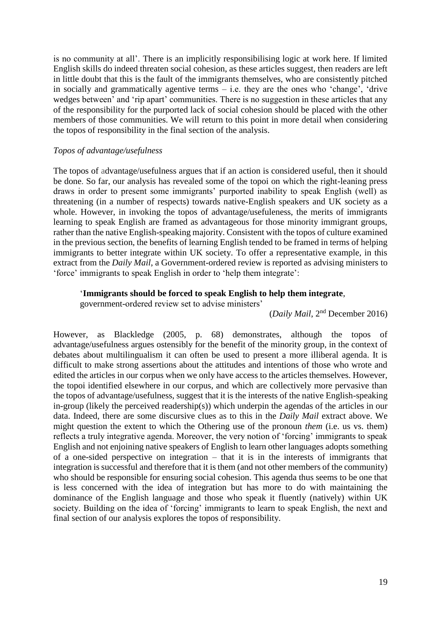is no community at all'. There is an implicitly responsibilising logic at work here. If limited English skills do indeed threaten social cohesion, as these articles suggest, then readers are left in little doubt that this is the fault of the immigrants themselves, who are consistently pitched in socially and grammatically agentive terms – i.e. they are the ones who 'change', 'drive wedges between' and 'rip apart' communities. There is no suggestion in these articles that any of the responsibility for the purported lack of social cohesion should be placed with the other members of those communities. We will return to this point in more detail when considering the topos of responsibility in the final section of the analysis.

## *Topos of advantage/usefulness*

The topos of advantage/usefulness argues that if an action is considered useful, then it should be done. So far, our analysis has revealed some of the topoi on which the right-leaning press draws in order to present some immigrants' purported inability to speak English (well) as threatening (in a number of respects) towards native-English speakers and UK society as a whole. However, in invoking the topos of advantage/usefuleness, the merits of immigrants learning to speak English are framed as advantageous for those minority immigrant groups, rather than the native English-speaking majority. Consistent with the topos of culture examined in the previous section, the benefits of learning English tended to be framed in terms of helping immigrants to better integrate within UK society. To offer a representative example, in this extract from the *Daily Mail*, a Government-ordered review is reported as advising ministers to 'force' immigrants to speak English in order to 'help them integrate':

#### '**Immigrants should be forced to speak English to help them integrate**,

government-ordered review set to advise ministers'

(*Daily Mail*, 2nd December 2016)

However, as Blackledge (2005, p. 68) demonstrates, although the topos of advantage/usefulness argues ostensibly for the benefit of the minority group, in the context of debates about multilingualism it can often be used to present a more illiberal agenda. It is difficult to make strong assertions about the attitudes and intentions of those who wrote and edited the articles in our corpus when we only have access to the articles themselves. However, the topoi identified elsewhere in our corpus, and which are collectively more pervasive than the topos of advantage/usefulness, suggest that it is the interests of the native English-speaking in-group (likely the perceived readership(s)) which underpin the agendas of the articles in our data. Indeed, there are some discursive clues as to this in the *Daily Mail* extract above. We might question the extent to which the Othering use of the pronoun *them* (i.e. us vs. them) reflects a truly integrative agenda. Moreover, the very notion of 'forcing' immigrants to speak English and not enjoining native speakers of English to learn other languages adopts something of a one-sided perspective on integration – that it is in the interests of immigrants that integration is successful and therefore that it is them (and not other members of the community) who should be responsible for ensuring social cohesion. This agenda thus seems to be one that is less concerned with the idea of integration but has more to do with maintaining the dominance of the English language and those who speak it fluently (natively) within UK society. Building on the idea of 'forcing' immigrants to learn to speak English, the next and final section of our analysis explores the topos of responsibility.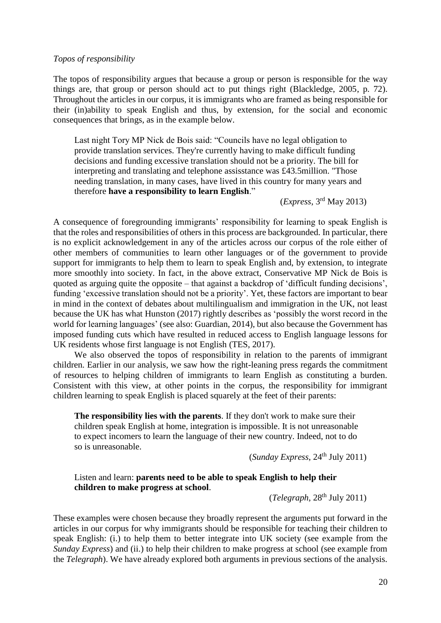#### *Topos of responsibility*

The topos of responsibility argues that because a group or person is responsible for the way things are, that group or person should act to put things right (Blackledge, 2005, p. 72). Throughout the articles in our corpus, it is immigrants who are framed as being responsible for their (in)ability to speak English and thus, by extension, for the social and economic consequences that brings, as in the example below.

Last night Tory MP Nick de Bois said: "Councils have no legal obligation to provide translation services. They're currently having to make difficult funding decisions and funding excessive translation should not be a priority. The bill for interpreting and translating and telephone assisstance was £43.5million. "Those needing translation, in many cases, have lived in this country for many years and therefore **have a responsibility to learn English**."

(*Express*, 3rd May 2013)

A consequence of foregrounding immigrants' responsibility for learning to speak English is that the roles and responsibilities of others in this process are backgrounded. In particular, there is no explicit acknowledgement in any of the articles across our corpus of the role either of other members of communities to learn other languages or of the government to provide support for immigrants to help them to learn to speak English and, by extension, to integrate more smoothly into society. In fact, in the above extract, Conservative MP Nick de Bois is quoted as arguing quite the opposite – that against a backdrop of 'difficult funding decisions', funding 'excessive translation should not be a priority'. Yet, these factors are important to bear in mind in the context of debates about multilingualism and immigration in the UK, not least because the UK has what Hunston (2017) rightly describes as 'possibly the worst record in the world for learning languages' (see also: Guardian, 2014), but also because the Government has imposed funding cuts which have resulted in reduced access to English language lessons for UK residents whose first language is not English (TES, 2017).

We also observed the topos of responsibility in relation to the parents of immigrant children. Earlier in our analysis, we saw how the right-leaning press regards the commitment of resources to helping children of immigrants to learn English as constituting a burden. Consistent with this view, at other points in the corpus, the responsibility for immigrant children learning to speak English is placed squarely at the feet of their parents:

**The responsibility lies with the parents**. If they don't work to make sure their children speak English at home, integration is impossible. It is not unreasonable to expect incomers to learn the language of their new country. Indeed, not to do so is unreasonable.

 $(Sunday Express, 24<sup>th</sup> July 2011)$ 

Listen and learn: **parents need to be able to speak English to help their children to make progress at school**.

(*Telegraph*, 28th July 2011)

These examples were chosen because they broadly represent the arguments put forward in the articles in our corpus for why immigrants should be responsible for teaching their children to speak English: (i.) to help them to better integrate into UK society (see example from the *Sunday Express*) and (ii.) to help their children to make progress at school (see example from the *Telegraph*). We have already explored both arguments in previous sections of the analysis.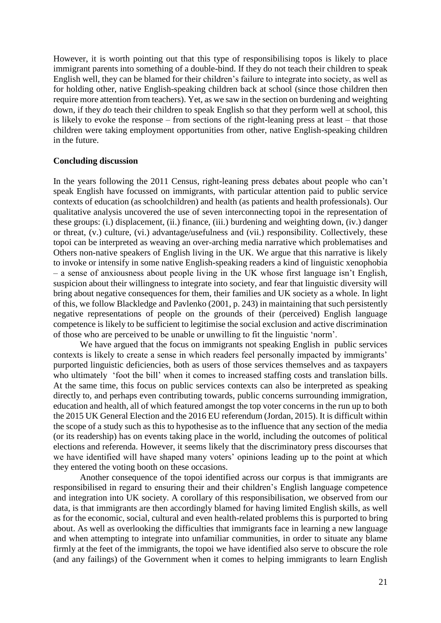However, it is worth pointing out that this type of responsibilising topos is likely to place immigrant parents into something of a double-bind. If they do not teach their children to speak English well, they can be blamed for their children's failure to integrate into society, as well as for holding other, native English-speaking children back at school (since those children then require more attention from teachers). Yet, as we saw in the section on burdening and weighting down, if they *do* teach their children to speak English so that they perform well at school, this is likely to evoke the response – from sections of the right-leaning press at least – that those children were taking employment opportunities from other, native English-speaking children in the future.

#### **Concluding discussion**

In the years following the 2011 Census, right-leaning press debates about people who can't speak English have focussed on immigrants, with particular attention paid to public service contexts of education (as schoolchildren) and health (as patients and health professionals). Our qualitative analysis uncovered the use of seven interconnecting topoi in the representation of these groups: (i.) displacement, (ii.) finance, (iii.) burdening and weighting down, (iv.) danger or threat, (v.) culture, (vi.) advantage/usefulness and (vii.) responsibility. Collectively, these topoi can be interpreted as weaving an over-arching media narrative which problematises and Others non-native speakers of English living in the UK. We argue that this narrative is likely to invoke or intensify in some native English-speaking readers a kind of linguistic xenophobia – a sense of anxiousness about people living in the UK whose first language isn't English, suspicion about their willingness to integrate into society, and fear that linguistic diversity will bring about negative consequences for them, their families and UK society as a whole. In light of this, we follow Blackledge and Pavlenko (2001, p. 243) in maintaining that such persistently negative representations of people on the grounds of their (perceived) English language competence is likely to be sufficient to legitimise the social exclusion and active discrimination of those who are perceived to be unable or unwilling to fit the linguistic 'norm'.

We have argued that the focus on immigrants not speaking English in public services contexts is likely to create a sense in which readers feel personally impacted by immigrants' purported linguistic deficiencies, both as users of those services themselves and as taxpayers who ultimately 'foot the bill' when it comes to increased staffing costs and translation bills. At the same time, this focus on public services contexts can also be interpreted as speaking directly to, and perhaps even contributing towards, public concerns surrounding immigration, education and health, all of which featured amongst the top voter concerns in the run up to both the 2015 UK General Election and the 2016 EU referendum (Jordan, 2015). It is difficult within the scope of a study such as this to hypothesise as to the influence that any section of the media (or its readership) has on events taking place in the world, including the outcomes of political elections and referenda. However, it seems likely that the discriminatory press discourses that we have identified will have shaped many voters' opinions leading up to the point at which they entered the voting booth on these occasions.

Another consequence of the topoi identified across our corpus is that immigrants are responsibilised in regard to ensuring their and their children's English language competence and integration into UK society. A corollary of this responsibilisation, we observed from our data, is that immigrants are then accordingly blamed for having limited English skills, as well as for the economic, social, cultural and even health-related problems this is purported to bring about. As well as overlooking the difficulties that immigrants face in learning a new language and when attempting to integrate into unfamiliar communities, in order to situate any blame firmly at the feet of the immigrants, the topoi we have identified also serve to obscure the role (and any failings) of the Government when it comes to helping immigrants to learn English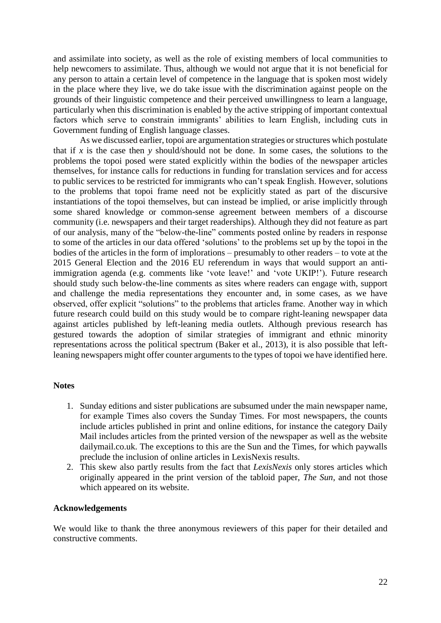and assimilate into society, as well as the role of existing members of local communities to help newcomers to assimilate. Thus, although we would not argue that it is not beneficial for any person to attain a certain level of competence in the language that is spoken most widely in the place where they live, we do take issue with the discrimination against people on the grounds of their linguistic competence and their perceived unwillingness to learn a language, particularly when this discrimination is enabled by the active stripping of important contextual factors which serve to constrain immigrants' abilities to learn English, including cuts in Government funding of English language classes.

As we discussed earlier, topoi are argumentation strategies or structures which postulate that if *x* is the case then *y* should/should not be done. In some cases, the solutions to the problems the topoi posed were stated explicitly within the bodies of the newspaper articles themselves, for instance calls for reductions in funding for translation services and for access to public services to be restricted for immigrants who can't speak English. However, solutions to the problems that topoi frame need not be explicitly stated as part of the discursive instantiations of the topoi themselves, but can instead be implied, or arise implicitly through some shared knowledge or common-sense agreement between members of a discourse community (i.e. newspapers and their target readerships). Although they did not feature as part of our analysis, many of the "below-the-line" comments posted online by readers in response to some of the articles in our data offered 'solutions' to the problems set up by the topoi in the bodies of the articles in the form of implorations – presumably to other readers – to vote at the 2015 General Election and the 2016 EU referendum in ways that would support an antiimmigration agenda (e.g. comments like 'vote leave!' and 'vote UKIP!'). Future research should study such below-the-line comments as sites where readers can engage with, support and challenge the media representations they encounter and, in some cases, as we have observed, offer explicit "solutions" to the problems that articles frame. Another way in which future research could build on this study would be to compare right-leaning newspaper data against articles published by left-leaning media outlets. Although previous research has gestured towards the adoption of similar strategies of immigrant and ethnic minority representations across the political spectrum (Baker et al., 2013), it is also possible that leftleaning newspapers might offer counter arguments to the types of topoi we have identified here.

## **Notes**

- 1. Sunday editions and sister publications are subsumed under the main newspaper name, for example Times also covers the Sunday Times. For most newspapers, the counts include articles published in print and online editions, for instance the category Daily Mail includes articles from the printed version of the newspaper as well as the website dailymail.co.uk. The exceptions to this are the Sun and the Times, for which paywalls preclude the inclusion of online articles in LexisNexis results.
- 2. This skew also partly results from the fact that *LexisNexis* only stores articles which originally appeared in the print version of the tabloid paper, *The Sun*, and not those which appeared on its website.

#### **Acknowledgements**

We would like to thank the three anonymous reviewers of this paper for their detailed and constructive comments.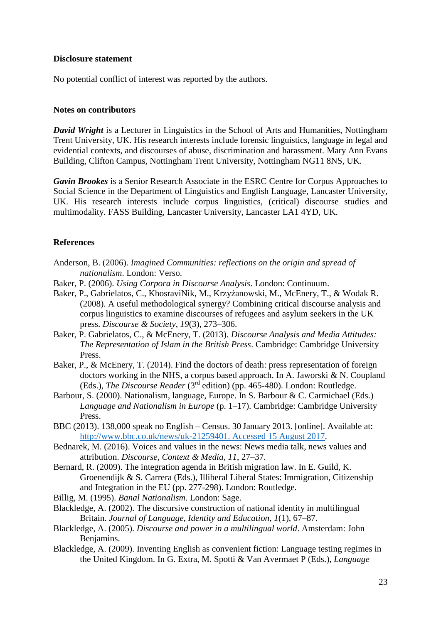## **Disclosure statement**

No potential conflict of interest was reported by the authors.

## **Notes on contributors**

*David Wright* is a Lecturer in Linguistics in the School of Arts and Humanities, Nottingham Trent University, UK. His research interests include forensic linguistics, language in legal and evidential contexts, and discourses of abuse, discrimination and harassment. Mary Ann Evans Building, Clifton Campus, Nottingham Trent University, Nottingham NG11 8NS, UK.

*Gavin Brookes* is a Senior Research Associate in the ESRC Centre for Corpus Approaches to Social Science in the Department of Linguistics and English Language, Lancaster University, UK. His research interests include corpus linguistics, (critical) discourse studies and multimodality. FASS Building, Lancaster University, Lancaster LA1 4YD, UK.

## **References**

- Anderson, B. (2006). *Imagined Communities: reflections on the origin and spread of nationalism*. London: Verso.
- Baker, P. (2006). *Using Corpora in Discourse Analysis*. London: Continuum.
- Baker, P., Gabrielatos, C., KhosraviNik, M., Krzyżanowski, M., McEnery, T., & Wodak R. (2008). A useful methodological synergy? Combining critical discourse analysis and corpus linguistics to examine discourses of refugees and asylum seekers in the UK press. *Discourse & Society*, *19*(3), 273–306.
- Baker, P. Gabrielatos, C., & McEnery, T. (2013). *Discourse Analysis and Media Attitudes: The Representation of Islam in the British Press*. Cambridge: Cambridge University Press.
- Baker, P., & McEnery, T. (2014). Find the doctors of death: press representation of foreign doctors working in the NHS, a corpus based approach. In A. Jaworski & N. Coupland (Eds.), *The Discourse Reader* (3rd edition) (pp. 465-480). London: Routledge.
- Barbour, S. (2000). Nationalism, language, Europe. In S. Barbour & C. Carmichael (Eds.) *Language and Nationalism in Europe* (p. 1–17). Cambridge: Cambridge University Press.
- BBC (2013). 138,000 speak no English Census. 30 January 2013. [online]. Available at: [http://www.bbc.co.uk/news/uk-21259401. Accessed 15 August 2017.](http://www.bbc.co.uk/news/uk-21259401.%20Accessed%2015%20August%202017)
- Bednarek, M. (2016). Voices and values in the news: News media talk, news values and attribution. *Discourse, Context & Media*, *11*, 27–37.
- Bernard, R. (2009). The integration agenda in British migration law. In E. Guild, K. Groenendijk & S. Carrera (Eds.), Illiberal Liberal States: Immigration, Citizenship and Integration in the EU (pp. 277-298). London: Routledge.
- Billig, M. (1995). *Banal Nationalism*. London: Sage.
- Blackledge, A. (2002). The discursive construction of national identity in multilingual Britain. *Journal of Language, Identity and Education*, *1*(1), 67–87.
- Blackledge, A. (2005). *Discourse and power in a multilingual world*. Amsterdam: John Benjamins.
- Blackledge, A. (2009). Inventing English as convenient fiction: Language testing regimes in the United Kingdom. In G. Extra, M. Spotti & Van Avermaet P (Eds.), *Language*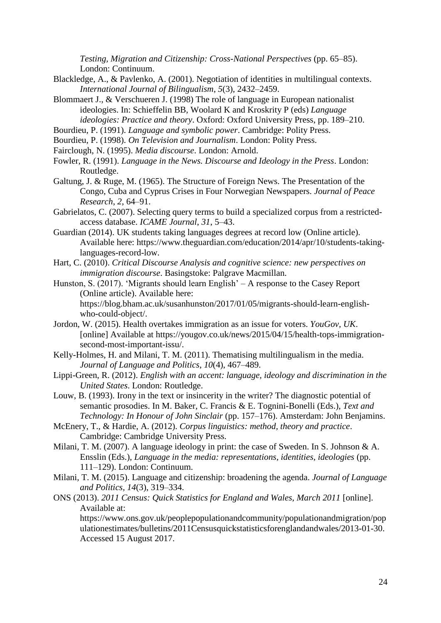*Testing, Migration and Citizenship: Cross-National Perspectives* (pp. 65–85). London: Continuum.

- Blackledge, A., & Pavlenko, A. (2001). Negotiation of identities in multilingual contexts. *International Journal of Bilingualism*, *5*(3), 2432–2459.
- Blommaert J., & Verschueren J. (1998) The role of language in European nationalist ideologies. In: Schieffelin BB, Woolard K and Kroskrity P (eds) *Language ideologies: Practice and theory*. Oxford: Oxford University Press, pp. 189–210.
- Bourdieu, P. (1991). *Language and symbolic power*. Cambridge: Polity Press.
- Bourdieu, P. (1998). *On Television and Journalism*. London: Polity Press.
- Fairclough, N. (1995). *Media discourse*. London: Arnold.
- Fowler, R. (1991). *Language in the News. Discourse and Ideology in the Press*. London: Routledge.
- Galtung, J. & Ruge, M. (1965). The Structure of Foreign News. The Presentation of the Congo, Cuba and Cyprus Crises in Four Norwegian Newspapers. *Journal of Peace Research*, *2*, 64–91.

Gabrielatos, C. (2007). Selecting query terms to build a specialized corpus from a restrictedaccess database. *ICAME Journal*, *31*, 5–43.

- Guardian (2014). UK students taking languages degrees at record low (Online article). Available here: https://www.theguardian.com/education/2014/apr/10/students-takinglanguages-record-low.
- Hart, C. (2010). *Critical Discourse Analysis and cognitive science: new perspectives on immigration discourse*. Basingstoke: Palgrave Macmillan.
- Hunston, S. (2017). 'Migrants should learn English' A response to the Casey Report (Online article). Available here: https://blog.bham.ac.uk/susanhunston/2017/01/05/migrants-should-learn-englishwho-could-object/.
- Jordon, W. (2015). Health overtakes immigration as an issue for voters. *YouGov, UK*. [online] Available at https://yougov.co.uk/news/2015/04/15/health-tops-immigrationsecond-most-important-issu/.
- Kelly-Holmes, H. and Milani, T. M. (2011). Thematising multilingualism in the media. *Journal of Language and Politics*, *10*(4), 467–489.
- Lippi-Green, R. (2012). *English with an accent: language, ideology and discrimination in the United States*. London: Routledge.
- Louw, B. (1993). Irony in the text or insincerity in the writer? The diagnostic potential of semantic prosodies. In M. Baker, C. Francis & E. Tognini-Bonelli (Eds.), *Text and Technology: In Honour of John Sinclair* (pp. 157–176). Amsterdam: John Benjamins.
- McEnery, T., & Hardie, A. (2012). *Corpus linguistics: method, theory and practice*. Cambridge: Cambridge University Press.
- Milani, T. M. (2007). A language ideology in print: the case of Sweden. In S. Johnson & A. Ensslin (Eds.), *Language in the media: representations, identities, ideologies* (pp. 111–129). London: Continuum.
- Milani, T. M. (2015). Language and citizenship: broadening the agenda. *Journal of Language and Politics*, *14*(3), 319–334.
- ONS (2013). *2011 Census: Quick Statistics for England and Wales, March 2011* [online]. Available at:

https://www.ons.gov.uk/peoplepopulationandcommunity/populationandmigration/pop ulationestimates/bulletins/2011Censusquickstatisticsforenglandandwales/2013-01-30. Accessed 15 August 2017.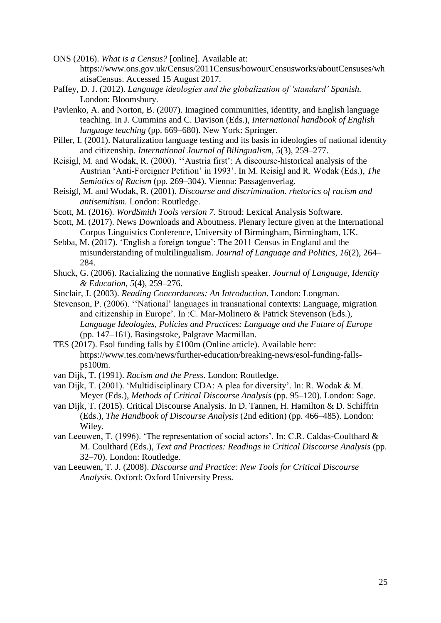ONS (2016). *What is a Census?* [online]. Available at: https://www.ons.gov.uk/Census/2011Census/howourCensusworks/aboutCensuses/wh atisaCensus. Accessed 15 August 2017.

- Paffey, D. J. (2012). *Language ideologies and the globalization of 'standard' Spanish.* London: Bloomsbury.
- Pavlenko, A. and Norton, B. (2007). Imagined communities, identity, and English language teaching. In J. Cummins and C. Davison (Eds.), *International handbook of English language teaching* (pp. 669–680). New York: Springer.
- Piller, I. (2001). Naturalization language testing and its basis in ideologies of national identity and citizenship. *International Journal of Bilingualism*, *5*(3), 259–277.
- Reisigl, M. and Wodak, R. (2000). ''Austria first': A discourse-historical analysis of the Austrian 'Anti-Foreigner Petition' in 1993'. In M. Reisigl and R. Wodak (Eds.), *The Semiotics of Racism* (pp. 269–304). Vienna: Passagenverlag.
- Reisigl, M. and Wodak, R. (2001). *Discourse and discrimination. rhetorics of racism and antisemitism.* London: Routledge.
- Scott, M. (2016). *WordSmith Tools version 7.* Stroud: Lexical Analysis Software.
- Scott, M. (2017). News Downloads and Aboutness. Plenary lecture given at the International Corpus Linguistics Conference, University of Birmingham, Birmingham, UK.
- Sebba, M. (2017). 'English a foreign tongue': The 2011 Census in England and the misunderstanding of multilingualism. *Journal of Language and Politics*, *16*(2), 264– 284.
- Shuck, G. (2006). Racializing the nonnative English speaker. *Journal of Language, Identity & Education*, *5*(4), 259–276.
- Sinclair, J. (2003). *Reading Concordances: An Introduction*. London: Longman.
- Stevenson, P. (2006). ''National' languages in transnational contexts: Language, migration and citizenship in Europe'. In :C. Mar-Molinero & Patrick Stevenson (Eds.), *Language Ideologies, Policies and Practices: Language and the Future of Europe* (pp. 147–161). Basingstoke, Palgrave Macmillan.
- TES (2017). Esol funding falls by £100m (Online article). Available here: https://www.tes.com/news/further-education/breaking-news/esol-funding-fallsps100m.
- van Dijk, T. (1991). *Racism and the Press*. London: Routledge.
- van Dijk, T. (2001). 'Multidisciplinary CDA: A plea for diversity'. In: R. Wodak & M. Meyer (Eds.), *Methods of Critical Discourse Analysis* (pp. 95–120). London: Sage.
- van Dijk, T. (2015). Critical Discourse Analysis. In D. Tannen, H. Hamilton & D. Schiffrin (Eds.), *The Handbook of Discourse Analysis* (2nd edition) (pp. 466–485). London: Wiley.
- van Leeuwen, T. (1996). 'The representation of social actors'. In: C.R. Caldas-Coulthard & M. Coulthard (Eds.), *Text and Practices: Readings in Critical Discourse Analysis* (pp. 32–70). London: Routledge.
- van Leeuwen, T. J. (2008). *Discourse and Practice: New Tools for Critical Discourse Analysis*. Oxford: Oxford University Press.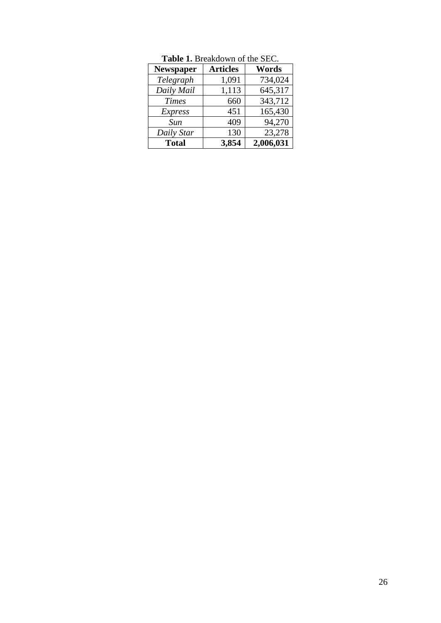| <b>Table 1.</b> Dicardown of the SEC. |                 |           |
|---------------------------------------|-----------------|-----------|
| Newspaper                             | <b>Articles</b> | Words     |
| Telegraph                             | 1,091           | 734,024   |
| Daily Mail                            | 1,113           | 645,317   |
| <b>Times</b>                          | 660             | 343,712   |
| <i>Express</i>                        | 451             | 165,430   |
| Sun                                   | 409             | 94,270    |
| Daily Star                            | 130             | 23,278    |
| <b>Total</b>                          | 3,854           | 2,006,031 |

**Table 1.** Breakdown of the SEC.